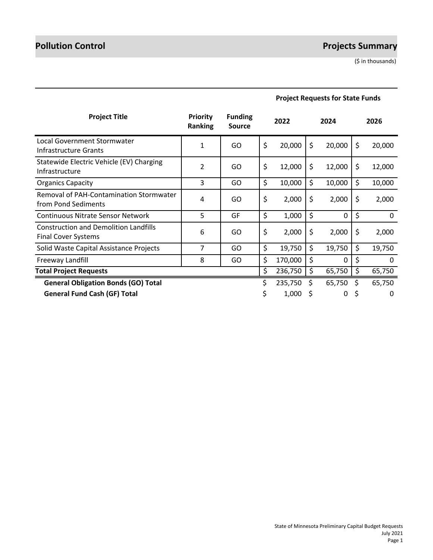# **Pollution Control Projects Summary**

(\$ in thousands)

| <b>Project Title</b>                                                       | <b>Priority</b><br>Ranking | <b>Funding</b><br><b>Source</b> |    | 2022    |    | 2024   |    | 2026   |
|----------------------------------------------------------------------------|----------------------------|---------------------------------|----|---------|----|--------|----|--------|
| Local Government Stormwater<br>Infrastructure Grants                       | 1                          | GO                              | \$ | 20,000  | \$ | 20,000 | \$ | 20,000 |
| Statewide Electric Vehicle (EV) Charging<br>Infrastructure                 | 2                          | GO                              | \$ | 12,000  | \$ | 12,000 | \$ | 12,000 |
| <b>Organics Capacity</b>                                                   | 3                          | GO                              | \$ | 10,000  | \$ | 10,000 | \$ | 10,000 |
| Removal of PAH-Contamination Stormwater<br>from Pond Sediments             | 4                          | GO                              | \$ | 2,000   | \$ | 2,000  | \$ | 2,000  |
| <b>Continuous Nitrate Sensor Network</b>                                   | 5                          | GF                              | \$ | 1,000   | \$ | 0      | \$ | 0      |
| <b>Construction and Demolition Landfills</b><br><b>Final Cover Systems</b> | 6                          | GO                              | \$ | 2,000   | \$ | 2,000  | \$ | 2,000  |
| Solid Waste Capital Assistance Projects                                    | 7                          | GO.                             | \$ | 19,750  | \$ | 19,750 | \$ | 19,750 |
| Freeway Landfill                                                           | 8                          | GO                              | \$ | 170,000 | \$ | 0      | \$ | 0      |
| <b>Total Project Requests</b>                                              |                            |                                 | \$ | 236,750 | \$ | 65,750 | \$ | 65,750 |
| <b>General Obligation Bonds (GO) Total</b>                                 |                            |                                 | \$ | 235,750 | Ś  | 65,750 | Ś  | 65,750 |
| <b>General Fund Cash (GF) Total</b>                                        |                            |                                 | S  | 1,000   | S  | 0      | S  | 0      |

# **Project Requests for State Funds**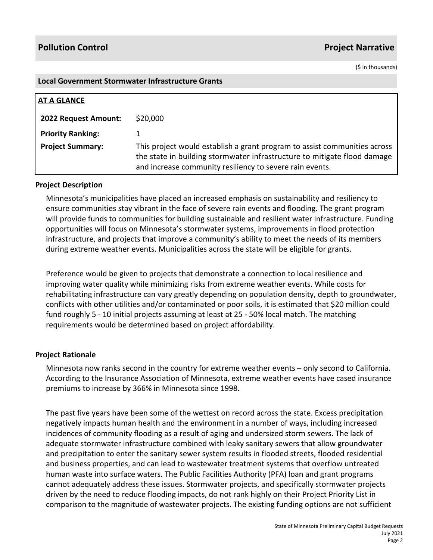(\$ in thousands)

#### **Local Government Stormwater Infrastructure Grants**

| <b>AT A GLANCE</b>       |                                                                                                                                                                                                                   |
|--------------------------|-------------------------------------------------------------------------------------------------------------------------------------------------------------------------------------------------------------------|
| 2022 Request Amount:     | \$20,000                                                                                                                                                                                                          |
| <b>Priority Ranking:</b> |                                                                                                                                                                                                                   |
| <b>Project Summary:</b>  | This project would establish a grant program to assist communities across<br>the state in building stormwater infrastructure to mitigate flood damage<br>and increase community resiliency to severe rain events. |

### **Project Description**

Minnesota's municipalities have placed an increased emphasis on sustainability and resiliency to ensure communities stay vibrant in the face of severe rain events and flooding. The grant program will provide funds to communities for building sustainable and resilient water infrastructure. Funding opportunities will focus on Minnesota's stormwater systems, improvements in flood protection infrastructure, and projects that improve a community's ability to meet the needs of its members during extreme weather events. Municipalities across the state will be eligible for grants.

Preference would be given to projects that demonstrate a connection to local resilience and improving water quality while minimizing risks from extreme weather events. While costs for rehabilitating infrastructure can vary greatly depending on population density, depth to groundwater, conflicts with other utilities and/or contaminated or poor soils, it is estimated that \$20 million could fund roughly 5 - 10 initial projects assuming at least at 25 - 50% local match. The matching requirements would be determined based on project affordability.

### **Project Rationale**

Minnesota now ranks second in the country for extreme weather events – only second to California. According to the Insurance Association of Minnesota, extreme weather events have cased insurance premiums to increase by 366% in Minnesota since 1998.

The past five years have been some of the wettest on record across the state. Excess precipitation negatively impacts human health and the environment in a number of ways, including increased incidences of community flooding as a result of aging and undersized storm sewers. The lack of adequate stormwater infrastructure combined with leaky sanitary sewers that allow groundwater and precipitation to enter the sanitary sewer system results in flooded streets, flooded residential and business properties, and can lead to wastewater treatment systems that overflow untreated human waste into surface waters. The Public Facilities Authority (PFA) loan and grant programs cannot adequately address these issues. Stormwater projects, and specifically stormwater projects driven by the need to reduce flooding impacts, do not rank highly on their Project Priority List in comparison to the magnitude of wastewater projects. The existing funding options are not sufficient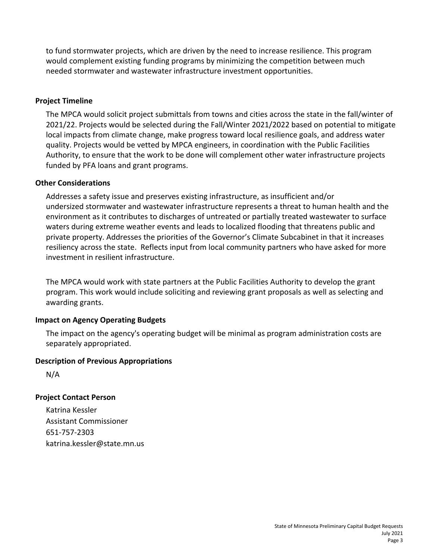to fund stormwater projects, which are driven by the need to increase resilience. This program would complement existing funding programs by minimizing the competition between much needed stormwater and wastewater infrastructure investment opportunities.

# **Project Timeline**

The MPCA would solicit project submittals from towns and cities across the state in the fall/winter of 2021/22. Projects would be selected during the Fall/Winter 2021/2022 based on potential to mitigate local impacts from climate change, make progress toward local resilience goals, and address water quality. Projects would be vetted by MPCA engineers, in coordination with the Public Facilities Authority, to ensure that the work to be done will complement other water infrastructure projects funded by PFA loans and grant programs.

### **Other Considerations**

Addresses a safety issue and preserves existing infrastructure, as insufficient and/or undersized stormwater and wastewater infrastructure represents a threat to human health and the environment as it contributes to discharges of untreated or partially treated wastewater to surface waters during extreme weather events and leads to localized flooding that threatens public and private property. Addresses the priorities of the Governor's Climate Subcabinet in that it increases resiliency across the state. Reflects input from local community partners who have asked for more investment in resilient infrastructure.

The MPCA would work with state partners at the Public Facilities Authority to develop the grant program. This work would include soliciting and reviewing grant proposals as well as selecting and awarding grants.

# **Impact on Agency Operating Budgets**

The impact on the agency's operating budget will be minimal as program administration costs are separately appropriated.

### **Description of Previous Appropriations**

N/A

# **Project Contact Person**

Katrina Kessler Assistant Commissioner 651-757-2303 katrina.kessler@state.mn.us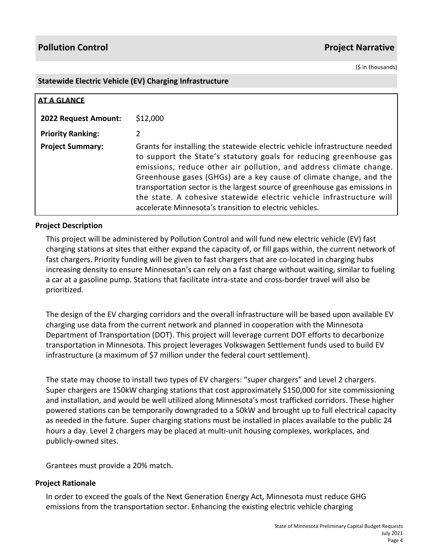(\$ in thousands)

#### **Statewide Electric Vehicle (EV) Charging Infrastructure**

| <b>AT A GLANCE</b>          |                                                                                                                                                                                                                                                                                                                                                                                                                                                                                                               |
|-----------------------------|---------------------------------------------------------------------------------------------------------------------------------------------------------------------------------------------------------------------------------------------------------------------------------------------------------------------------------------------------------------------------------------------------------------------------------------------------------------------------------------------------------------|
| <b>2022 Request Amount:</b> | \$12,000                                                                                                                                                                                                                                                                                                                                                                                                                                                                                                      |
| <b>Priority Ranking:</b>    | 2                                                                                                                                                                                                                                                                                                                                                                                                                                                                                                             |
| <b>Project Summary:</b>     | Grants for installing the statewide electric vehicle infrastructure needed<br>to support the State's statutory goals for reducing greenhouse gas<br>emissions, reduce other air pollution, and address climate change.<br>Greenhouse gases (GHGs) are a key cause of climate change, and the<br>transportation sector is the largest source of greenhouse gas emissions in<br>the state. A cohesive statewide electric vehicle infrastructure will<br>accelerate Minnesota's transition to electric vehicles. |

# **Project Description**

This project will be administered by Pollution Control and will fund new electric vehicle (EV) fast charging stations at sites that either expand the capacity of, or fill gaps within, the current network of fast chargers. Priority funding will be given to fast chargers that are co-located in charging hubs increasing density to ensure Minnesotan's can rely on a fast charge without waiting, similar to fueling a car at a gasoline pump. Stations that facilitate intra-state and cross-border travel will also be prioritized.

The design of the EV charging corridors and the overall infrastructure will be based upon available EV charging use data from the current network and planned in cooperation with the Minnesota Department of Transportation (DOT). This project will leverage current DOT efforts to decarbonize transportation in Minnesota. This project leverages Volkswagen Settlement funds used to build EV infrastructure (a maximum of \$7 million under the federal court settlement).

The state may choose to install two types of EV chargers: "super chargers" and Level 2 chargers. Super chargers are 150kW charging stations that cost approximately \$150,000 for site commissioning and installation, and would be well utilized along Minnesota's most trafficked corridors. These higher powered stations can be temporarily downgraded to a 50kW and brought up to full electrical capacity as needed in the future. Super charging stations must be installed in places available to the public 24 hours a day. Level 2 chargers may be placed at multi-unit housing complexes, workplaces, and publicly-owned sites.

Grantees must provide a 20% match.

### **Project Rationale**

In order to exceed the goals of the Next Generation Energy Act, Minnesota must reduce GHG emissions from the transportation sector. Enhancing the existing electric vehicle charging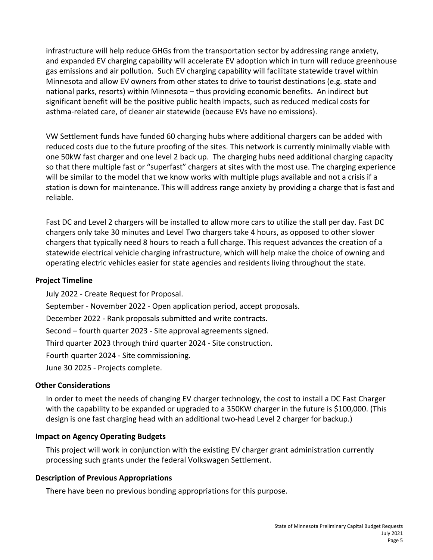infrastructure will help reduce GHGs from the transportation sector by addressing range anxiety, and expanded EV charging capability will accelerate EV adoption which in turn will reduce greenhouse gas emissions and air pollution. Such EV charging capability will facilitate statewide travel within Minnesota and allow EV owners from other states to drive to tourist destinations (e.g. state and national parks, resorts) within Minnesota – thus providing economic benefits. An indirect but significant benefit will be the positive public health impacts, such as reduced medical costs for asthma-related care, of cleaner air statewide (because EVs have no emissions).

VW Settlement funds have funded 60 charging hubs where additional chargers can be added with reduced costs due to the future proofing of the sites. This network is currently minimally viable with one 50kW fast charger and one level 2 back up. The charging hubs need additional charging capacity so that there multiple fast or "superfast" chargers at sites with the most use. The charging experience will be similar to the model that we know works with multiple plugs available and not a crisis if a station is down for maintenance. This will address range anxiety by providing a charge that is fast and reliable.

Fast DC and Level 2 chargers will be installed to allow more cars to utilize the stall per day. Fast DC chargers only take 30 minutes and Level Two chargers take 4 hours, as opposed to other slower chargers that typically need 8 hours to reach a full charge. This request advances the creation of a statewide electrical vehicle charging infrastructure, which will help make the choice of owning and operating electric vehicles easier for state agencies and residents living throughout the state.

### **Project Timeline**

July 2022 - Create Request for Proposal. September - November 2022 - Open application period, accept proposals. December 2022 - Rank proposals submitted and write contracts. Second – fourth quarter 2023 - Site approval agreements signed. Third quarter 2023 through third quarter 2024 - Site construction. Fourth quarter 2024 - Site commissioning. June 30 2025 - Projects complete.

# **Other Considerations**

In order to meet the needs of changing EV charger technology, the cost to install a DC Fast Charger with the capability to be expanded or upgraded to a 350KW charger in the future is \$100,000. (This design is one fast charging head with an additional two-head Level 2 charger for backup.)

# **Impact on Agency Operating Budgets**

This project will work in conjunction with the existing EV charger grant administration currently processing such grants under the federal Volkswagen Settlement.

### **Description of Previous Appropriations**

There have been no previous bonding appropriations for this purpose.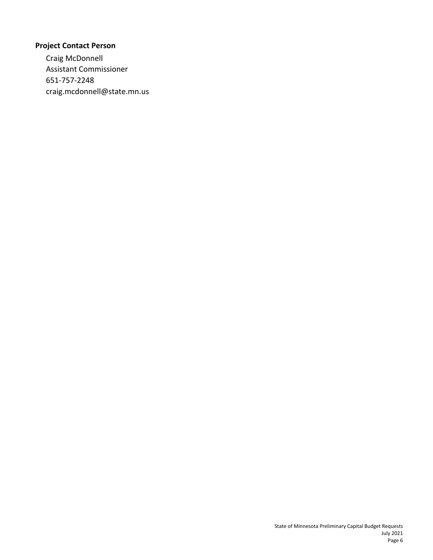# **Project Contact Person**

Craig McDonnell Assistant Commissioner 651-757-2248 craig.mcdonnell@state.mn.us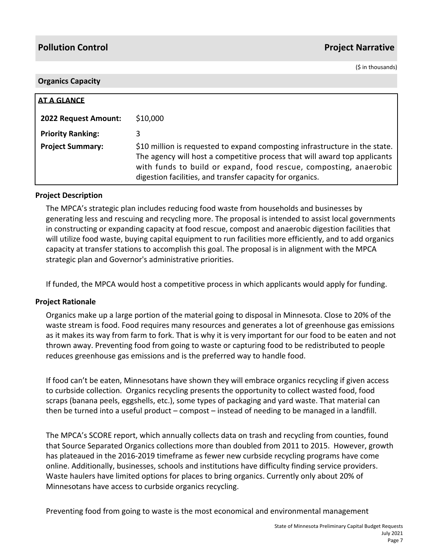(\$ in thousands)

#### **Organics Capacity**

| AT A GLANCE              |                                                                                                                                                                                                                                                                                            |
|--------------------------|--------------------------------------------------------------------------------------------------------------------------------------------------------------------------------------------------------------------------------------------------------------------------------------------|
| 2022 Request Amount:     | \$10,000                                                                                                                                                                                                                                                                                   |
| <b>Priority Ranking:</b> | 3                                                                                                                                                                                                                                                                                          |
| <b>Project Summary:</b>  | \$10 million is requested to expand composting infrastructure in the state.<br>The agency will host a competitive process that will award top applicants<br>with funds to build or expand, food rescue, composting, anaerobic<br>digestion facilities, and transfer capacity for organics. |

### **Project Description**

The MPCA's strategic plan includes reducing food waste from households and businesses by generating less and rescuing and recycling more. The proposal is intended to assist local governments in constructing or expanding capacity at food rescue, compost and anaerobic digestion facilities that will utilize food waste, buying capital equipment to run facilities more efficiently, and to add organics capacity at transfer stations to accomplish this goal. The proposal is in alignment with the MPCA strategic plan and Governor's administrative priorities.

If funded, the MPCA would host a competitive process in which applicants would apply for funding.

### **Project Rationale**

Organics make up a large portion of the material going to disposal in Minnesota. Close to 20% of the waste stream is food. Food requires many resources and generates a lot of greenhouse gas emissions as it makes its way from farm to fork. That is why it is very important for our food to be eaten and not thrown away. Preventing food from going to waste or capturing food to be redistributed to people reduces greenhouse gas emissions and is the preferred way to handle food.

If food can't be eaten, Minnesotans have shown they will embrace organics recycling if given access to curbside collection. Organics recycling presents the opportunity to collect wasted food, food scraps (banana peels, eggshells, etc.), some types of packaging and yard waste. That material can then be turned into a useful product – compost – instead of needing to be managed in a landfill.

The MPCA's SCORE report, which annually collects data on trash and recycling from counties, found that Source Separated Organics collections more than doubled from 2011 to 2015. However, growth has plateaued in the 2016-2019 timeframe as fewer new curbside recycling programs have come online. Additionally, businesses, schools and institutions have difficulty finding service providers. Waste haulers have limited options for places to bring organics. Currently only about 20% of Minnesotans have access to curbside organics recycling.

Preventing food from going to waste is the most economical and environmental management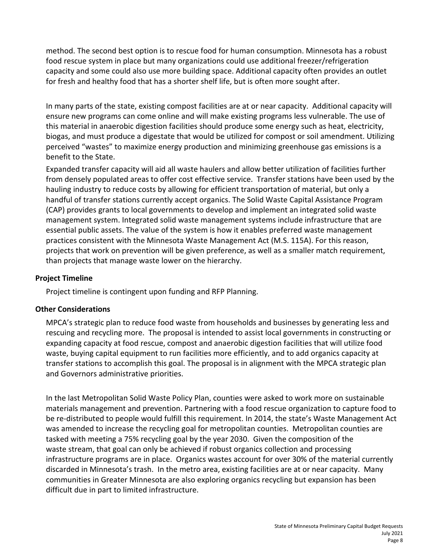method. The second best option is to rescue food for human consumption. Minnesota has a robust food rescue system in place but many organizations could use additional freezer/refrigeration capacity and some could also use more building space. Additional capacity often provides an outlet for fresh and healthy food that has a shorter shelf life, but is often more sought after.

In many parts of the state, existing compost facilities are at or near capacity. Additional capacity will ensure new programs can come online and will make existing programs less vulnerable. The use of this material in anaerobic digestion facilities should produce some energy such as heat, electricity, biogas, and must produce a digestate that would be utilized for compost or soil amendment. Utilizing perceived "wastes" to maximize energy production and minimizing greenhouse gas emissions is a benefit to the State.

Expanded transfer capacity will aid all waste haulers and allow better utilization of facilities further from densely populated areas to offer cost effective service. Transfer stations have been used by the hauling industry to reduce costs by allowing for efficient transportation of material, but only a handful of transfer stations currently accept organics. The Solid Waste Capital Assistance Program (CAP) provides grants to local governments to develop and implement an integrated solid waste management system. Integrated solid waste management systems include infrastructure that are essential public assets. The value of the system is how it enables preferred waste management practices consistent with the Minnesota Waste Management Act (M.S. 115A). For this reason, projects that work on prevention will be given preference, as well as a smaller match requirement, than projects that manage waste lower on the hierarchy.

# **Project Timeline**

Project timeline is contingent upon funding and RFP Planning.

# **Other Considerations**

MPCA's strategic plan to reduce food waste from households and businesses by generating less and rescuing and recycling more. The proposal is intended to assist local governments in constructing or expanding capacity at food rescue, compost and anaerobic digestion facilities that will utilize food waste, buying capital equipment to run facilities more efficiently, and to add organics capacity at transfer stations to accomplish this goal. The proposal is in alignment with the MPCA strategic plan and Governors administrative priorities.

In the last Metropolitan Solid Waste Policy Plan, counties were asked to work more on sustainable materials management and prevention. Partnering with a food rescue organization to capture food to be re-distributed to people would fulfill this requirement. In 2014, the state's Waste Management Act was amended to increase the recycling goal for metropolitan counties. Metropolitan counties are tasked with meeting a 75% recycling goal by the year 2030. Given the composition of the waste stream, that goal can only be achieved if robust organics collection and processing infrastructure programs are in place. Organics wastes account for over 30% of the material currently discarded in Minnesota's trash. In the metro area, existing facilities are at or near capacity. Many communities in Greater Minnesota are also exploring organics recycling but expansion has been difficult due in part to limited infrastructure.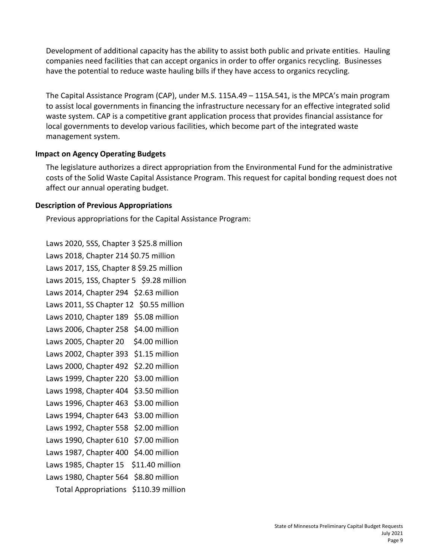Development of additional capacity has the ability to assist both public and private entities. Hauling companies need facilities that can accept organics in order to offer organics recycling. Businesses have the potential to reduce waste hauling bills if they have access to organics recycling.

The Capital Assistance Program (CAP), under M.S. 115A.49 – 115A.541, is the MPCA's main program to assist local governments in financing the infrastructure necessary for an effective integrated solid waste system. CAP is a competitive grant application process that provides financial assistance for local governments to develop various facilities, which become part of the integrated waste management system.

### **Impact on Agency Operating Budgets**

The legislature authorizes a direct appropriation from the Environmental Fund for the administrative costs of the Solid Waste Capital Assistance Program. This request for capital bonding request does not affect our annual operating budget.

# **Description of Previous Appropriations**

Previous appropriations for the Capital Assistance Program:

Laws 2020, 5SS, Chapter 3 \$25.8 million Laws 2018, Chapter 214 \$0.75 million Laws 2017, 1SS, Chapter 8 \$9.25 million Laws 2015, 1SS, Chapter 5 \$9.28 million Laws 2014, Chapter 294 \$2.63 million Laws 2011, SS Chapter 12 \$0.55 million Laws 2010, Chapter 189 \$5.08 million Laws 2006, Chapter 258 \$4.00 million Laws 2005, Chapter 20 \$4.00 million Laws 2002, Chapter 393 \$1.15 million Laws 2000, Chapter 492 \$2.20 million Laws 1999, Chapter 220 \$3.00 million Laws 1998, Chapter 404 \$3.50 million Laws 1996, Chapter 463 \$3.00 million Laws 1994, Chapter 643 \$3.00 million Laws 1992, Chapter 558 \$2.00 million Laws 1990, Chapter 610 \$7.00 million Laws 1987, Chapter 400 \$4.00 million Laws 1985, Chapter 15 \$11.40 million Laws 1980, Chapter 564 \$8.80 million Total Appropriations \$110.39 million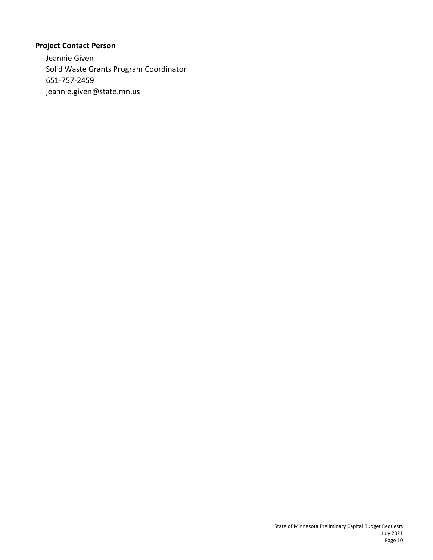# **Project Contact Person**

Jeannie Given Solid Waste Grants Program Coordinator 651-757-2459 jeannie.given@state.mn.us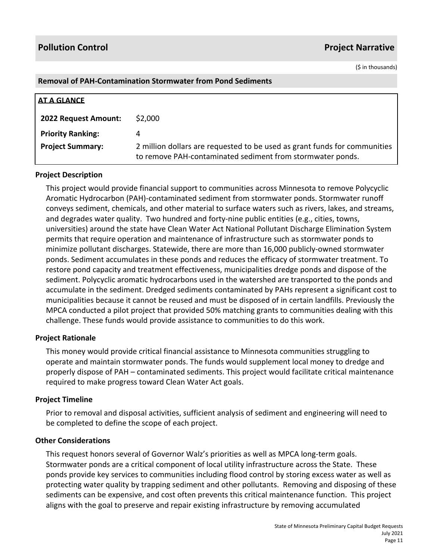(\$ in thousands)

### **Removal of PAH-Contamination Stormwater from Pond Sediments**

| <b>AT A GLANCE</b>          |                                                                                                                                         |
|-----------------------------|-----------------------------------------------------------------------------------------------------------------------------------------|
| <b>2022 Request Amount:</b> | \$2,000                                                                                                                                 |
| <b>Priority Ranking:</b>    |                                                                                                                                         |
| <b>Project Summary:</b>     | 2 million dollars are requested to be used as grant funds for communities<br>to remove PAH-contaminated sediment from stormwater ponds. |

### **Project Description**

This project would provide financial support to communities across Minnesota to remove Polycyclic Aromatic Hydrocarbon (PAH)-contaminated sediment from stormwater ponds. Stormwater runoff conveys sediment, chemicals, and other material to surface waters such as rivers, lakes, and streams, and degrades water quality. Two hundred and forty-nine public entities (e.g., cities, towns, universities) around the state have Clean Water Act National Pollutant Discharge Elimination System permits that require operation and maintenance of infrastructure such as stormwater ponds to minimize pollutant discharges. Statewide, there are more than 16,000 publicly-owned stormwater ponds. Sediment accumulates in these ponds and reduces the efficacy of stormwater treatment. To restore pond capacity and treatment effectiveness, municipalities dredge ponds and dispose of the sediment. Polycyclic aromatic hydrocarbons used in the watershed are transported to the ponds and accumulate in the sediment. Dredged sediments contaminated by PAHs represent a significant cost to municipalities because it cannot be reused and must be disposed of in certain landfills. Previously the MPCA conducted a pilot project that provided 50% matching grants to communities dealing with this challenge. These funds would provide assistance to communities to do this work.

### **Project Rationale**

This money would provide critical financial assistance to Minnesota communities struggling to operate and maintain stormwater ponds. The funds would supplement local money to dredge and properly dispose of PAH – contaminated sediments. This project would facilitate critical maintenance required to make progress toward Clean Water Act goals.

### **Project Timeline**

Prior to removal and disposal activities, sufficient analysis of sediment and engineering will need to be completed to define the scope of each project.

### **Other Considerations**

This request honors several of Governor Walz's priorities as well as MPCA long-term goals. Stormwater ponds are a critical component of local utility infrastructure across the State. These ponds provide key services to communities including flood control by storing excess water as well as protecting water quality by trapping sediment and other pollutants. Removing and disposing of these sediments can be expensive, and cost often prevents this critical maintenance function. This project aligns with the goal to preserve and repair existing infrastructure by removing accumulated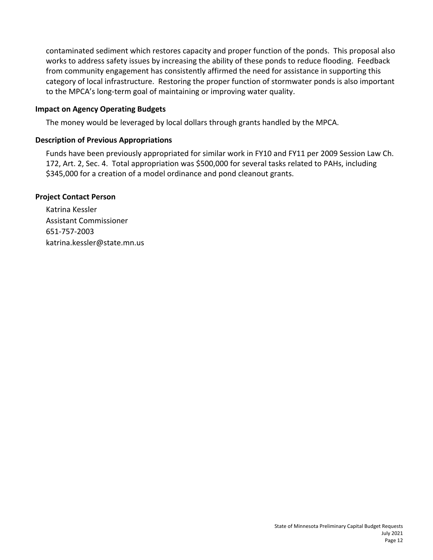contaminated sediment which restores capacity and proper function of the ponds. This proposal also works to address safety issues by increasing the ability of these ponds to reduce flooding. Feedback from community engagement has consistently affirmed the need for assistance in supporting this category of local infrastructure. Restoring the proper function of stormwater ponds is also important to the MPCA's long-term goal of maintaining or improving water quality.

### **Impact on Agency Operating Budgets**

The money would be leveraged by local dollars through grants handled by the MPCA.

# **Description of Previous Appropriations**

Funds have been previously appropriated for similar work in FY10 and FY11 per 2009 Session Law Ch. 172, Art. 2, Sec. 4. Total appropriation was \$500,000 for several tasks related to PAHs, including \$345,000 for a creation of a model ordinance and pond cleanout grants.

# **Project Contact Person**

Katrina Kessler Assistant Commissioner 651-757-2003 katrina.kessler@state.mn.us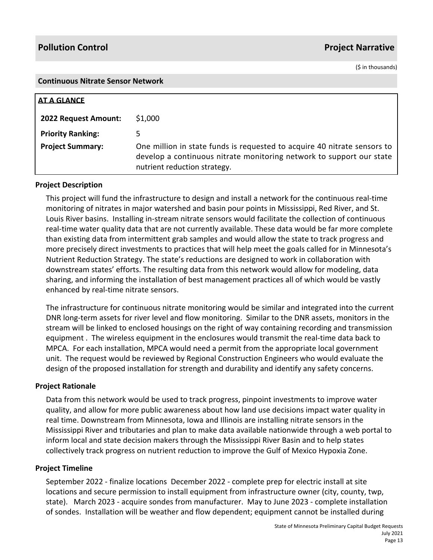(\$ in thousands)

#### **Continuous Nitrate Sensor Network**

| <b>AT A GLANCE</b>          |                                                                                                                                                                                  |
|-----------------------------|----------------------------------------------------------------------------------------------------------------------------------------------------------------------------------|
| <b>2022 Request Amount:</b> | \$1,000                                                                                                                                                                          |
| <b>Priority Ranking:</b>    |                                                                                                                                                                                  |
| <b>Project Summary:</b>     | One million in state funds is requested to acquire 40 nitrate sensors to<br>develop a continuous nitrate monitoring network to support our state<br>nutrient reduction strategy. |

# **Project Description**

This project will fund the infrastructure to design and install a network for the continuous real-time monitoring of nitrates in major watershed and basin pour points in Mississippi, Red River, and St. Louis River basins. Installing in-stream nitrate sensors would facilitate the collection of continuous real-time water quality data that are not currently available. These data would be far more complete than existing data from intermittent grab samples and would allow the state to track progress and more precisely direct investments to practices that will help meet the goals called for in Minnesota's Nutrient Reduction Strategy. The state's reductions are designed to work in collaboration with downstream states' efforts. The resulting data from this network would allow for modeling, data sharing, and informing the installation of best management practices all of which would be vastly enhanced by real-time nitrate sensors.

The infrastructure for continuous nitrate monitoring would be similar and integrated into the current DNR long-term assets for river level and flow monitoring. Similar to the DNR assets, monitors in the stream will be linked to enclosed housings on the right of way containing recording and transmission equipment . The wireless equipment in the enclosures would transmit the real-time data back to MPCA. For each installation, MPCA would need a permit from the appropriate local government unit. The request would be reviewed by Regional Construction Engineers who would evaluate the design of the proposed installation for strength and durability and identify any safety concerns.

### **Project Rationale**

Data from this network would be used to track progress, pinpoint investments to improve water quality, and allow for more public awareness about how land use decisions impact water quality in real time. Downstream from Minnesota, Iowa and Illinois are installing nitrate sensors in the Mississippi River and tributaries and plan to make data available nationwide through a web portal to inform local and state decision makers through the Mississippi River Basin and to help states collectively track progress on nutrient reduction to improve the Gulf of Mexico Hypoxia Zone.

### **Project Timeline**

September 2022 - finalize locations December 2022 - complete prep for electric install at site locations and secure permission to install equipment from infrastructure owner (city, county, twp, state). March 2023 - acquire sondes from manufacturer. May to June 2023 - complete installation of sondes. Installation will be weather and flow dependent; equipment cannot be installed during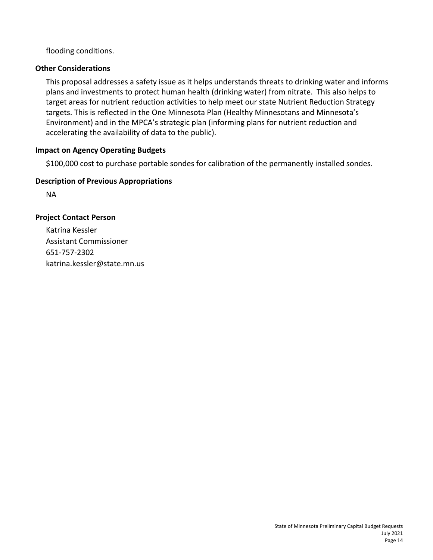flooding conditions.

# **Other Considerations**

This proposal addresses a safety issue as it helps understands threats to drinking water and informs plans and investments to protect human health (drinking water) from nitrate. This also helps to target areas for nutrient reduction activities to help meet our state Nutrient Reduction Strategy targets. This is reflected in the One Minnesota Plan (Healthy Minnesotans and Minnesota's Environment) and in the MPCA's strategic plan (informing plans for nutrient reduction and accelerating the availability of data to the public).

# **Impact on Agency Operating Budgets**

\$100,000 cost to purchase portable sondes for calibration of the permanently installed sondes.

# **Description of Previous Appropriations**

NA

# **Project Contact Person**

Katrina Kessler Assistant Commissioner 651-757-2302 katrina.kessler@state.mn.us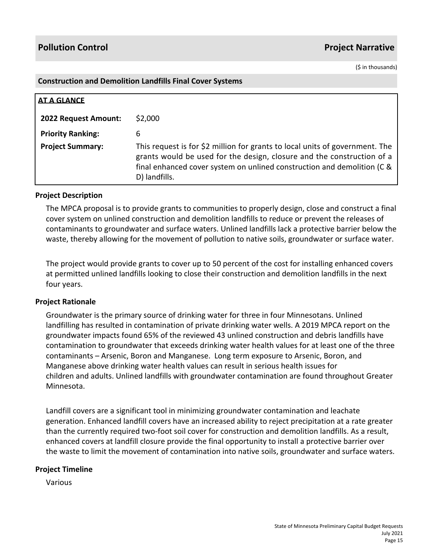(\$ in thousands)

#### **Construction and Demolition Landfills Final Cover Systems**

| <b>AT A GLANCE</b>       |                                                                                                                                                                                                                                                    |
|--------------------------|----------------------------------------------------------------------------------------------------------------------------------------------------------------------------------------------------------------------------------------------------|
| 2022 Request Amount:     | \$2,000                                                                                                                                                                                                                                            |
| <b>Priority Ranking:</b> | 6                                                                                                                                                                                                                                                  |
| <b>Project Summary:</b>  | This request is for \$2 million for grants to local units of government. The<br>grants would be used for the design, closure and the construction of a<br>final enhanced cover system on unlined construction and demolition (C &<br>D) landfills. |

#### **Project Description**

The MPCA proposal is to provide grants to communities to properly design, close and construct a final cover system on unlined construction and demolition landfills to reduce or prevent the releases of contaminants to groundwater and surface waters. Unlined landfills lack a protective barrier below the waste, thereby allowing for the movement of pollution to native soils, groundwater or surface water.

The project would provide grants to cover up to 50 percent of the cost for installing enhanced covers at permitted unlined landfills looking to close their construction and demolition landfills in the next four years.

### **Project Rationale**

Groundwater is the primary source of drinking water for three in four Minnesotans. Unlined landfilling has resulted in contamination of private drinking water wells. A 2019 MPCA report on the groundwater impacts found 65% of the reviewed 43 unlined construction and debris landfills have contamination to groundwater that exceeds drinking water health values for at least one of the three contaminants – Arsenic, Boron and Manganese. Long term exposure to Arsenic, Boron, and Manganese above drinking water health values can result in serious health issues for children and adults. Unlined landfills with groundwater contamination are found throughout Greater Minnesota.

Landfill covers are a significant tool in minimizing groundwater contamination and leachate generation. Enhanced landfill covers have an increased ability to reject precipitation at a rate greater than the currently required two-foot soil cover for construction and demolition landfills. As a result, enhanced covers at landfill closure provide the final opportunity to install a protective barrier over the waste to limit the movement of contamination into native soils, groundwater and surface waters.

#### **Project Timeline**

Various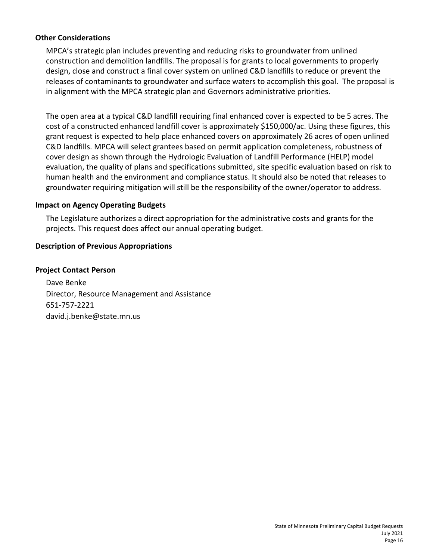### **Other Considerations**

MPCA's strategic plan includes preventing and reducing risks to groundwater from unlined construction and demolition landfills. The proposal is for grants to local governments to properly design, close and construct a final cover system on unlined C&D landfills to reduce or prevent the releases of contaminants to groundwater and surface waters to accomplish this goal. The proposal is in alignment with the MPCA strategic plan and Governors administrative priorities.

The open area at a typical C&D landfill requiring final enhanced cover is expected to be 5 acres. The cost of a constructed enhanced landfill cover is approximately \$150,000/ac. Using these figures, this grant request is expected to help place enhanced covers on approximately 26 acres of open unlined C&D landfills. MPCA will select grantees based on permit application completeness, robustness of cover design as shown through the Hydrologic Evaluation of Landfill Performance (HELP) model evaluation, the quality of plans and specifications submitted, site specific evaluation based on risk to human health and the environment and compliance status. It should also be noted that releases to groundwater requiring mitigation will still be the responsibility of the owner/operator to address.

### **Impact on Agency Operating Budgets**

The Legislature authorizes a direct appropriation for the administrative costs and grants for the projects. This request does affect our annual operating budget.

# **Description of Previous Appropriations**

# **Project Contact Person**

Dave Benke Director, Resource Management and Assistance 651-757-2221 david.j.benke@state.mn.us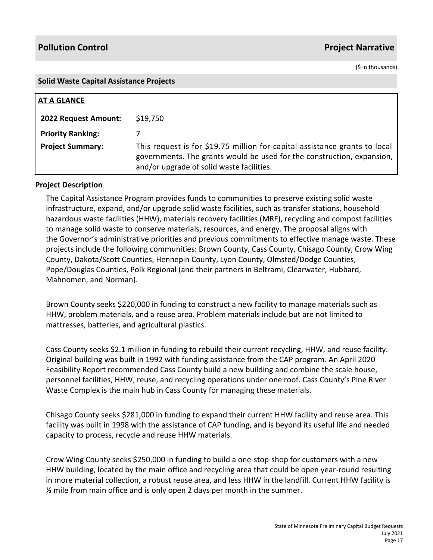(\$ in thousands)

#### **Solid Waste Capital Assistance Projects**

| AT A GLANCE              |                                                                                                                                                                                                   |
|--------------------------|---------------------------------------------------------------------------------------------------------------------------------------------------------------------------------------------------|
| 2022 Request Amount:     | \$19,750                                                                                                                                                                                          |
| <b>Priority Ranking:</b> |                                                                                                                                                                                                   |
| <b>Project Summary:</b>  | This request is for \$19.75 million for capital assistance grants to local<br>governments. The grants would be used for the construction, expansion,<br>and/or upgrade of solid waste facilities. |

### **Project Description**

The Capital Assistance Program provides funds to communities to preserve existing solid waste infrastructure, expand, and/or upgrade solid waste facilities, such as transfer stations, household hazardous waste facilities (HHW), materials recovery facilities (MRF), recycling and compost facilities to manage solid waste to conserve materials, resources, and energy. The proposal aligns with the Governor's administrative priorities and previous commitments to effective manage waste. These projects include the following communities: Brown County, Cass County, Chisago County, Crow Wing County, Dakota/Scott Counties, Hennepin County, Lyon County, Olmsted/Dodge Counties, Pope/Douglas Counties, Polk Regional (and their partners in Beltrami, Clearwater, Hubbard, Mahnomen, and Norman).

Brown County seeks \$220,000 in funding to construct a new facility to manage materials such as HHW, problem materials, and a reuse area. Problem materials include but are not limited to mattresses, batteries, and agricultural plastics.

Cass County seeks \$2.1 million in funding to rebuild their current recycling, HHW, and reuse facility. Original building was built in 1992 with funding assistance from the CAP program. An April 2020 Feasibility Report recommended Cass County build a new building and combine the scale house, personnel facilities, HHW, reuse, and recycling operations under one roof. Cass County's Pine River Waste Complex is the main hub in Cass County for managing these materials.

Chisago County seeks \$281,000 in funding to expand their current HHW facility and reuse area. This facility was built in 1998 with the assistance of CAP funding, and is beyond its useful life and needed capacity to process, recycle and reuse HHW materials.

Crow Wing County seeks \$250,000 in funding to build a one-stop-shop for customers with a new HHW building, located by the main office and recycling area that could be open year-round resulting in more material collection, a robust reuse area, and less HHW in the landfill. Current HHW facility is  $\frac{1}{2}$  mile from main office and is only open 2 days per month in the summer.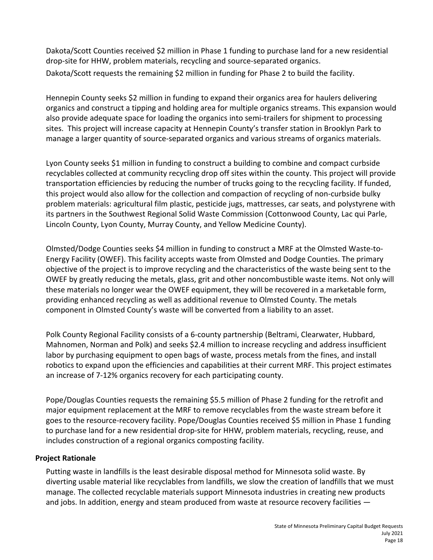Dakota/Scott Counties received \$2 million in Phase 1 funding to purchase land for a new residential drop-site for HHW, problem materials, recycling and source-separated organics. Dakota/Scott requests the remaining \$2 million in funding for Phase 2 to build the facility.

Hennepin County seeks \$2 million in funding to expand their organics area for haulers delivering organics and construct a tipping and holding area for multiple organics streams. This expansion would also provide adequate space for loading the organics into semi-trailers for shipment to processing sites. This project will increase capacity at Hennepin County's transfer station in Brooklyn Park to manage a larger quantity of source-separated organics and various streams of organics materials.

Lyon County seeks \$1 million in funding to construct a building to combine and compact curbside recyclables collected at community recycling drop off sites within the county. This project will provide transportation efficiencies by reducing the number of trucks going to the recycling facility. If funded, this project would also allow for the collection and compaction of recycling of non-curbside bulky problem materials: agricultural film plastic, pesticide jugs, mattresses, car seats, and polystyrene with its partners in the Southwest Regional Solid Waste Commission (Cottonwood County, Lac qui Parle, Lincoln County, Lyon County, Murray County, and Yellow Medicine County).

Olmsted/Dodge Counties seeks \$4 million in funding to construct a MRF at the Olmsted Waste-to-Energy Facility (OWEF). This facility accepts waste from Olmsted and Dodge Counties. The primary objective of the project is to improve recycling and the characteristics of the waste being sent to the OWEF by greatly reducing the metals, glass, grit and other noncombustible waste items. Not only will these materials no longer wear the OWEF equipment, they will be recovered in a marketable form, providing enhanced recycling as well as additional revenue to Olmsted County. The metals component in Olmsted County's waste will be converted from a liability to an asset.

Polk County Regional Facility consists of a 6-county partnership (Beltrami, Clearwater, Hubbard, Mahnomen, Norman and Polk) and seeks \$2.4 million to increase recycling and address insufficient labor by purchasing equipment to open bags of waste, process metals from the fines, and install robotics to expand upon the efficiencies and capabilities at their current MRF. This project estimates an increase of 7-12% organics recovery for each participating county.

Pope/Douglas Counties requests the remaining \$5.5 million of Phase 2 funding for the retrofit and major equipment replacement at the MRF to remove recyclables from the waste stream before it goes to the resource-recovery facility. Pope/Douglas Counties received \$5 million in Phase 1 funding to purchase land for a new residential drop-site for HHW, problem materials, recycling, reuse, and includes construction of a regional organics composting facility.

# **Project Rationale**

Putting waste in landfills is the least desirable disposal method for Minnesota solid waste. By diverting usable material like recyclables from landfills, we slow the creation of landfills that we must manage. The collected recyclable materials support Minnesota industries in creating new products and jobs. In addition, energy and steam produced from waste at resource recovery facilities  $-$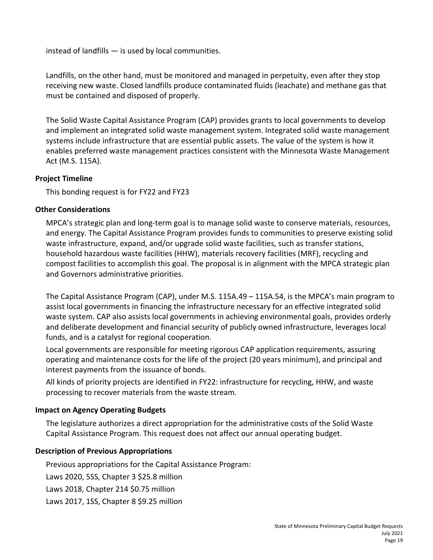instead of landfills — is used by local communities.

Landfills, on the other hand, must be monitored and managed in perpetuity, even after they stop receiving new waste. Closed landfills produce contaminated fluids (leachate) and methane gas that must be contained and disposed of properly.

The Solid Waste Capital Assistance Program (CAP) provides grants to local governments to develop and implement an integrated solid waste management system. Integrated solid waste management systems include infrastructure that are essential public assets. The value of the system is how it enables preferred waste management practices consistent with the Minnesota Waste Management Act (M.S. 115A).

# **Project Timeline**

This bonding request is for FY22 and FY23

# **Other Considerations**

MPCA's strategic plan and long-term goal is to manage solid waste to conserve materials, resources, and energy. The Capital Assistance Program provides funds to communities to preserve existing solid waste infrastructure, expand, and/or upgrade solid waste facilities, such as transfer stations, household hazardous waste facilities (HHW), materials recovery facilities (MRF), recycling and compost facilities to accomplish this goal. The proposal is in alignment with the MPCA strategic plan and Governors administrative priorities.

The Capital Assistance Program (CAP), under M.S. 115A.49 – 115A.54, is the MPCA's main program to assist local governments in financing the infrastructure necessary for an effective integrated solid waste system. CAP also assists local governments in achieving environmental goals, provides orderly and deliberate development and financial security of publicly owned infrastructure, leverages local funds, and is a catalyst for regional cooperation.

Local governments are responsible for meeting rigorous CAP application requirements, assuring operating and maintenance costs for the life of the project (20 years minimum), and principal and interest payments from the issuance of bonds.

All kinds of priority projects are identified in FY22: infrastructure for recycling, HHW, and waste processing to recover materials from the waste stream.

# **Impact on Agency Operating Budgets**

The legislature authorizes a direct appropriation for the administrative costs of the Solid Waste Capital Assistance Program. This request does not affect our annual operating budget.

# **Description of Previous Appropriations**

Previous appropriations for the Capital Assistance Program:

Laws 2020, 5SS, Chapter 3 \$25.8 million

Laws 2018, Chapter 214 \$0.75 million

Laws 2017, 1SS, Chapter 8 \$9.25 million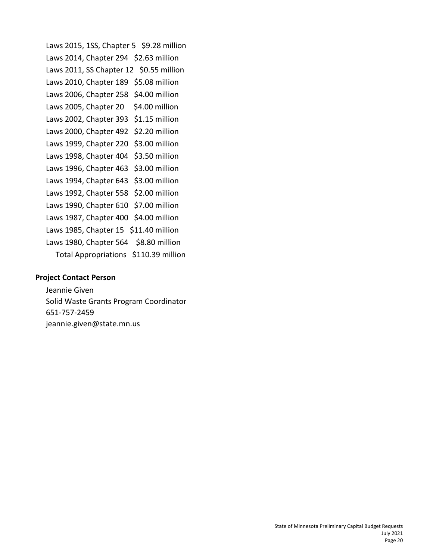Laws 2015, 1SS, Chapter 5 \$9.28 million Laws 2014, Chapter 294 \$2.63 million Laws 2011, SS Chapter 12 \$0.55 million Laws 2010, Chapter 189 \$5.08 million Laws 2006, Chapter 258 \$4.00 million Laws 2005, Chapter 20 \$4.00 million Laws 2002, Chapter 393 \$1.15 million Laws 2000, Chapter 492 \$2.20 million Laws 1999, Chapter 220 \$3.00 million Laws 1998, Chapter 404 \$3.50 million Laws 1996, Chapter 463 \$3.00 million Laws 1994, Chapter 643 \$3.00 million Laws 1992, Chapter 558 \$2.00 million Laws 1990, Chapter 610 \$7.00 million Laws 1987, Chapter 400 \$4.00 million Laws 1985, Chapter 15 \$11.40 million Laws 1980, Chapter 564 \$8.80 million Total Appropriations \$110.39 million

#### **Project Contact Person**

Jeannie Given Solid Waste Grants Program Coordinator 651-757-2459 jeannie.given@state.mn.us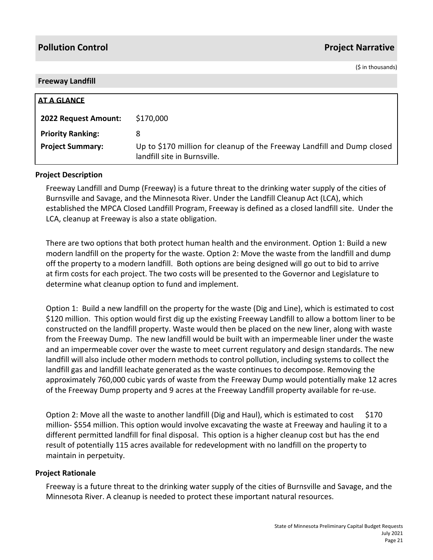(\$ in thousands)

#### **Freeway Landfill**

| <b>AT A GLANCE</b>          |                                                                                                         |
|-----------------------------|---------------------------------------------------------------------------------------------------------|
| <b>2022 Request Amount:</b> | \$170,000                                                                                               |
| <b>Priority Ranking:</b>    | 8                                                                                                       |
| <b>Project Summary:</b>     | Up to \$170 million for cleanup of the Freeway Landfill and Dump closed<br>landfill site in Burnsville. |

#### **Project Description**

Freeway Landfill and Dump (Freeway) is a future threat to the drinking water supply of the cities of Burnsville and Savage, and the Minnesota River. Under the Landfill Cleanup Act (LCA), which established the MPCA Closed Landfill Program, Freeway is defined as a closed landfill site. Under the LCA, cleanup at Freeway is also a state obligation.

There are two options that both protect human health and the environment. Option 1: Build a new modern landfill on the property for the waste. Option 2: Move the waste from the landfill and dump off the property to a modern landfill. Both options are being designed will go out to bid to arrive at firm costs for each project. The two costs will be presented to the Governor and Legislature to determine what cleanup option to fund and implement.

Option 1: Build a new landfill on the property for the waste (Dig and Line), which is estimated to cost \$120 million. This option would first dig up the existing Freeway Landfill to allow a bottom liner to be constructed on the landfill property. Waste would then be placed on the new liner, along with waste from the Freeway Dump. The new landfill would be built with an impermeable liner under the waste and an impermeable cover over the waste to meet current regulatory and design standards. The new landfill will also include other modern methods to control pollution, including systems to collect the landfill gas and landfill leachate generated as the waste continues to decompose. Removing the approximately 760,000 cubic yards of waste from the Freeway Dump would potentially make 12 acres of the Freeway Dump property and 9 acres at the Freeway Landfill property available for re-use.

Option 2: Move all the waste to another landfill (Dig and Haul), which is estimated to cost \$170 million- \$554 million. This option would involve excavating the waste at Freeway and hauling it to a different permitted landfill for final disposal. This option is a higher cleanup cost but has the end result of potentially 115 acres available for redevelopment with no landfill on the property to maintain in perpetuity.

### **Project Rationale**

Freeway is a future threat to the drinking water supply of the cities of Burnsville and Savage, and the Minnesota River. A cleanup is needed to protect these important natural resources.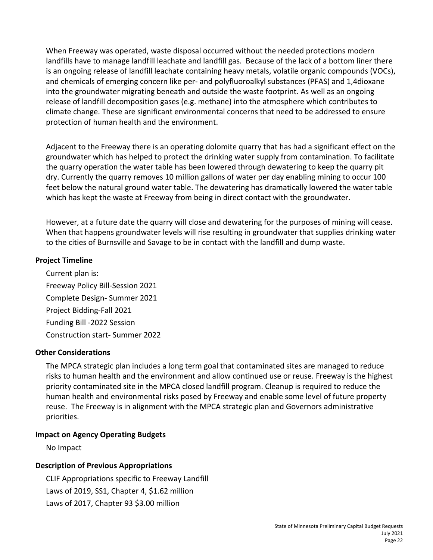When Freeway was operated, waste disposal occurred without the needed protections modern landfills have to manage landfill leachate and landfill gas. Because of the lack of a bottom liner there is an ongoing release of landfill leachate containing heavy metals, volatile organic compounds (VOCs), and chemicals of emerging concern like per- and polyfluoroalkyl substances (PFAS) and 1,4dioxane into the groundwater migrating beneath and outside the waste footprint. As well as an ongoing release of landfill decomposition gases (e.g. methane) into the atmosphere which contributes to climate change. These are significant environmental concerns that need to be addressed to ensure protection of human health and the environment.

Adjacent to the Freeway there is an operating dolomite quarry that has had a significant effect on the groundwater which has helped to protect the drinking water supply from contamination. To facilitate the quarry operation the water table has been lowered through dewatering to keep the quarry pit dry. Currently the quarry removes 10 million gallons of water per day enabling mining to occur 100 feet below the natural ground water table. The dewatering has dramatically lowered the water table which has kept the waste at Freeway from being in direct contact with the groundwater.

However, at a future date the quarry will close and dewatering for the purposes of mining will cease. When that happens groundwater levels will rise resulting in groundwater that supplies drinking water to the cities of Burnsville and Savage to be in contact with the landfill and dump waste.

# **Project Timeline**

Current plan is: Freeway Policy Bill-Session 2021 Complete Design- Summer 2021 Project Bidding-Fall 2021 Funding Bill -2022 Session Construction start- Summer 2022

### **Other Considerations**

The MPCA strategic plan includes a long term goal that contaminated sites are managed to reduce risks to human health and the environment and allow continued use or reuse. Freeway is the highest priority contaminated site in the MPCA closed landfill program. Cleanup is required to reduce the human health and environmental risks posed by Freeway and enable some level of future property reuse. The Freeway is in alignment with the MPCA strategic plan and Governors administrative priorities.

# **Impact on Agency Operating Budgets**

No Impact

# **Description of Previous Appropriations**

CLIF Appropriations specific to Freeway Landfill Laws of 2019, SS1, Chapter 4, \$1.62 million Laws of 2017, Chapter 93 \$3.00 million